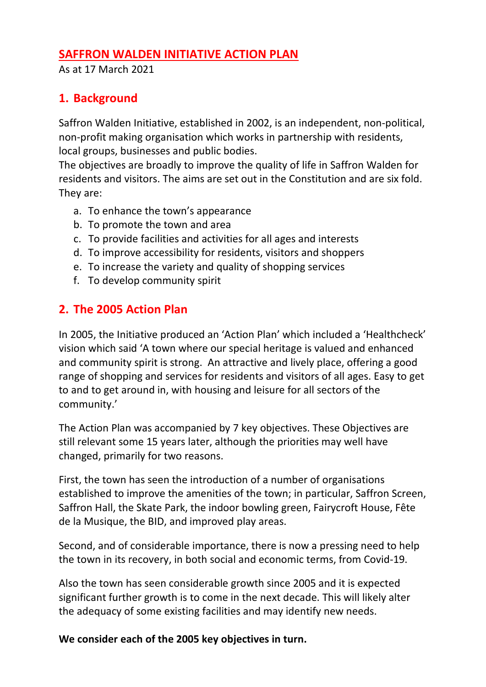### **SAFFRON WALDEN INITIATIVE ACTION PLAN**

As at 17 March 2021

# **1. Background**

Saffron Walden Initiative, established in 2002, is an independent, non-political, non-profit making organisation which works in partnership with residents, local groups, businesses and public bodies.

The objectives are broadly to improve the quality of life in Saffron Walden for residents and visitors. The aims are set out in the Constitution and are six fold. They are:

- a. To enhance the town's appearance
- b. To promote the town and area
- c. To provide facilities and activities for all ages and interests
- d. To improve accessibility for residents, visitors and shoppers
- e. To increase the variety and quality of shopping services
- f. To develop community spirit

# **2. The 2005 Action Plan**

In 2005, the Initiative produced an 'Action Plan' which included a 'Healthcheck' vision which said 'A town where our special heritage is valued and enhanced and community spirit is strong. An attractive and lively place, offering a good range of shopping and services for residents and visitors of all ages. Easy to get to and to get around in, with housing and leisure for all sectors of the community.'

The Action Plan was accompanied by 7 key objectives. These Objectives are still relevant some 15 years later, although the priorities may well have changed, primarily for two reasons.

First, the town has seen the introduction of a number of organisations established to improve the amenities of the town; in particular, Saffron Screen, Saffron Hall, the Skate Park, the indoor bowling green, Fairycroft House, Fête de la Musique, the BID, and improved play areas.

Second, and of considerable importance, there is now a pressing need to help the town in its recovery, in both social and economic terms, from Covid-19.

Also the town has seen considerable growth since 2005 and it is expected significant further growth is to come in the next decade. This will likely alter the adequacy of some existing facilities and may identify new needs.

**We consider each of the 2005 key objectives in turn.**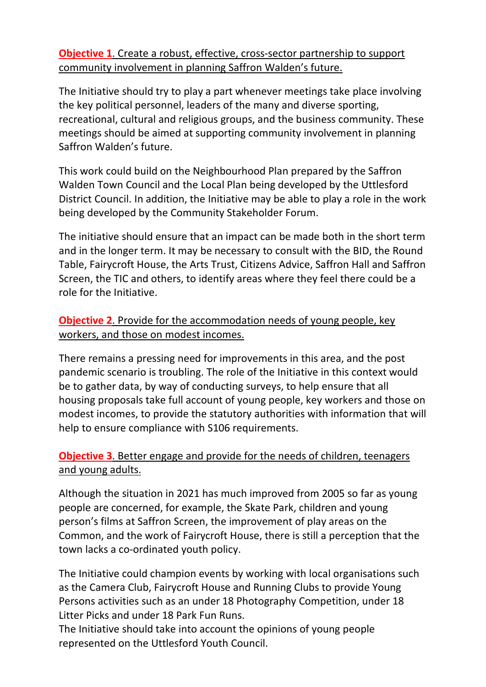**Objective 1**. Create a robust, effective, cross-sector partnership to support community involvement in planning Saffron Walden's future.

The Initiative should try to play a part whenever meetings take place involving the key political personnel, leaders of the many and diverse sporting, recreational, cultural and religious groups, and the business community. These meetings should be aimed at supporting community involvement in planning Saffron Walden's future.

This work could build on the Neighbourhood Plan prepared by the Saffron Walden Town Council and the Local Plan being developed by the Uttlesford District Council. In addition, the Initiative may be able to play a role in the work being developed by the Community Stakeholder Forum.

The initiative should ensure that an impact can be made both in the short term and in the longer term. It may be necessary to consult with the BID, the Round Table, Fairycroft House, the Arts Trust, Citizens Advice, Saffron Hall and Saffron Screen, the TIC and others, to identify areas where they feel there could be a role for the Initiative.

#### **Objective 2**. Provide for the accommodation needs of young people, key workers, and those on modest incomes.

There remains a pressing need for improvements in this area, and the post pandemic scenario is troubling. The role of the Initiative in this context would be to gather data, by way of conducting surveys, to help ensure that all housing proposals take full account of young people, key workers and those on modest incomes, to provide the statutory authorities with information that will help to ensure compliance with S106 requirements.

## **Objective 3**. Better engage and provide for the needs of children, teenagers and young adults.

Although the situation in 2021 has much improved from 2005 so far as young people are concerned, for example, the Skate Park, children and young person's films at Saffron Screen, the improvement of play areas on the Common, and the work of Fairycroft House, there is still a perception that the town lacks a co-ordinated youth policy.

The Initiative could champion events by working with local organisations such as the Camera Club, Fairycroft House and Running Clubs to provide Young Persons activities such as an under 18 Photography Competition, under 18 Litter Picks and under 18 Park Fun Runs.

The Initiative should take into account the opinions of young people represented on the Uttlesford Youth Council.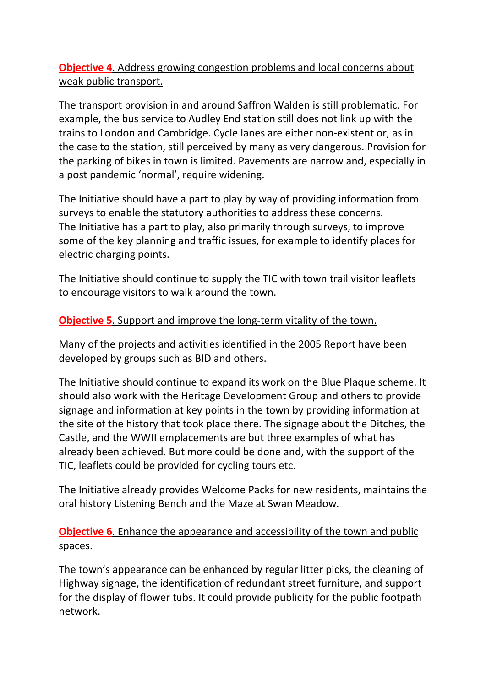## **Objective 4.** Address growing congestion problems and local concerns about weak public transport.

The transport provision in and around Saffron Walden is still problematic. For example, the bus service to Audley End station still does not link up with the trains to London and Cambridge. Cycle lanes are either non-existent or, as in the case to the station, still perceived by many as very dangerous. Provision for the parking of bikes in town is limited. Pavements are narrow and, especially in a post pandemic 'normal', require widening.

The Initiative should have a part to play by way of providing information from surveys to enable the statutory authorities to address these concerns. The Initiative has a part to play, also primarily through surveys, to improve some of the key planning and traffic issues, for example to identify places for electric charging points.

The Initiative should continue to supply the TIC with town trail visitor leaflets to encourage visitors to walk around the town.

#### **Objective 5**. Support and improve the long-term vitality of the town.

Many of the projects and activities identified in the 2005 Report have been developed by groups such as BID and others.

The Initiative should continue to expand its work on the Blue Plaque scheme. It should also work with the Heritage Development Group and others to provide signage and information at key points in the town by providing information at the site of the history that took place there. The signage about the Ditches, the Castle, and the WWII emplacements are but three examples of what has already been achieved. But more could be done and, with the support of the TIC, leaflets could be provided for cycling tours etc.

The Initiative already provides Welcome Packs for new residents, maintains the oral history Listening Bench and the Maze at Swan Meadow.

## **Objective 6**. Enhance the appearance and accessibility of the town and public spaces.

The town's appearance can be enhanced by regular litter picks, the cleaning of Highway signage, the identification of redundant street furniture, and support for the display of flower tubs. It could provide publicity for the public footpath network.